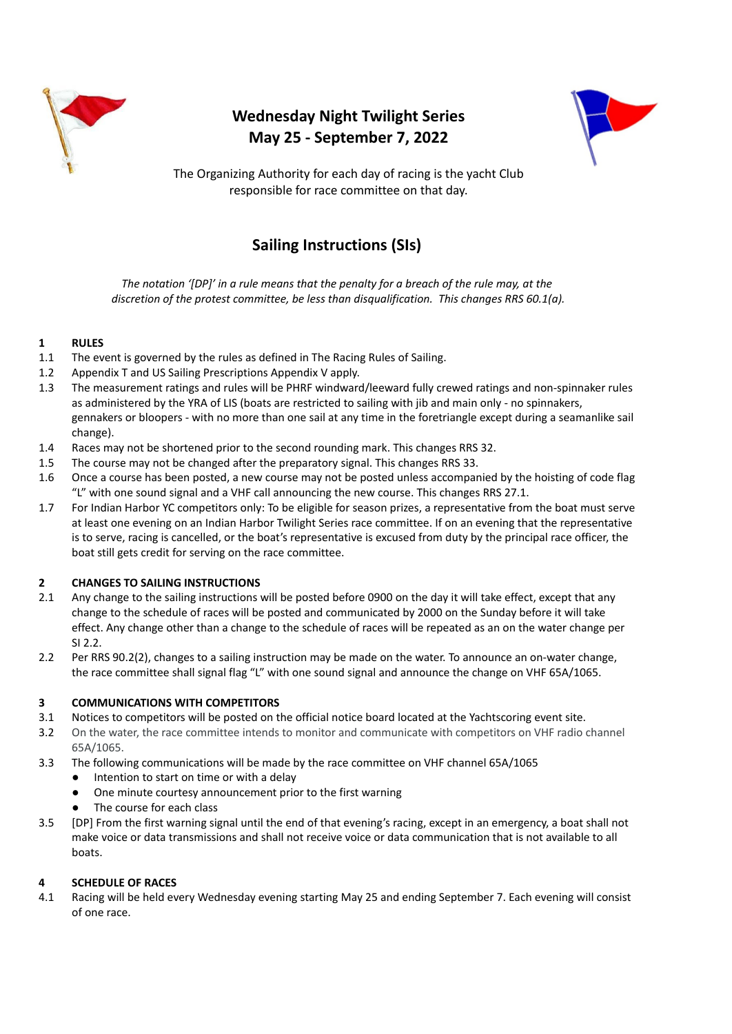

# **Wednesday Night Twilight Series May 25 - September 7, 2022**



The Organizing Authority for each day of racing is the yacht Club responsible for race committee on that day.

# **Sailing Instructions (SIs)**

*The notation '[DP]' in a rule means that the penalty for a breach of the rule may, at the discretion of the protest committee, be less than disqualification. This changes RRS 60.1(a).*

## **1 RULES**

- 1.1 The event is governed by the rules as defined in The Racing Rules of Sailing.
- 1.2 Appendix T and US Sailing Prescriptions Appendix V apply.
- 1.3 The measurement ratings and rules will be PHRF windward/leeward fully crewed ratings and non-spinnaker rules as administered by the YRA of LIS (boats are restricted to sailing with jib and main only - no spinnakers, gennakers or bloopers - with no more than one sail at any time in the foretriangle except during a seamanlike sail change).
- 1.4 Races may not be shortened prior to the second rounding mark. This changes RRS 32.
- 1.5 The course may not be changed after the preparatory signal. This changes RRS 33.
- 1.6 Once a course has been posted, a new course may not be posted unless accompanied by the hoisting of code flag "L" with one sound signal and a VHF call announcing the new course. This changes RRS 27.1.
- 1.7 For Indian Harbor YC competitors only: To be eligible for season prizes, a representative from the boat must serve at least one evening on an Indian Harbor Twilight Series race committee. If on an evening that the representative is to serve, racing is cancelled, or the boat's representative is excused from duty by the principal race officer, the boat still gets credit for serving on the race committee.

## **2 CHANGES TO SAILING INSTRUCTIONS**

- 2.1 Any change to the sailing instructions will be posted before 0900 on the day it will take effect, except that any change to the schedule of races will be posted and communicated by 2000 on the Sunday before it will take effect. Any change other than a change to the schedule of races will be repeated as an on the water change per SI 2.2.
- 2.2 Per RRS 90.2(2), changes to a sailing instruction may be made on the water. To announce an on-water change, the race committee shall signal flag "L" with one sound signal and announce the change on VHF 65A/1065.

## **3 COMMUNICATIONS WITH COMPETITORS**

- 3.1 Notices to competitors will be posted on the official notice board located at the Yachtscoring event site.
- 3.2 On the water, the race committee intends to monitor and communicate with competitors on VHF radio channel 65A/1065.
- 3.3 The following communications will be made by the race committee on VHF channel 65A/1065
	- Intention to start on time or with a delay
	- One minute courtesy announcement prior to the first warning
	- The course for each class
- 3.5 [DP] From the first warning signal until the end of that evening's racing, except in an emergency, a boat shall not make voice or data transmissions and shall not receive voice or data communication that is not available to all boats.

## **4 SCHEDULE OF RACES**

4.1 Racing will be held every Wednesday evening starting May 25 and ending September 7. Each evening will consist of one race.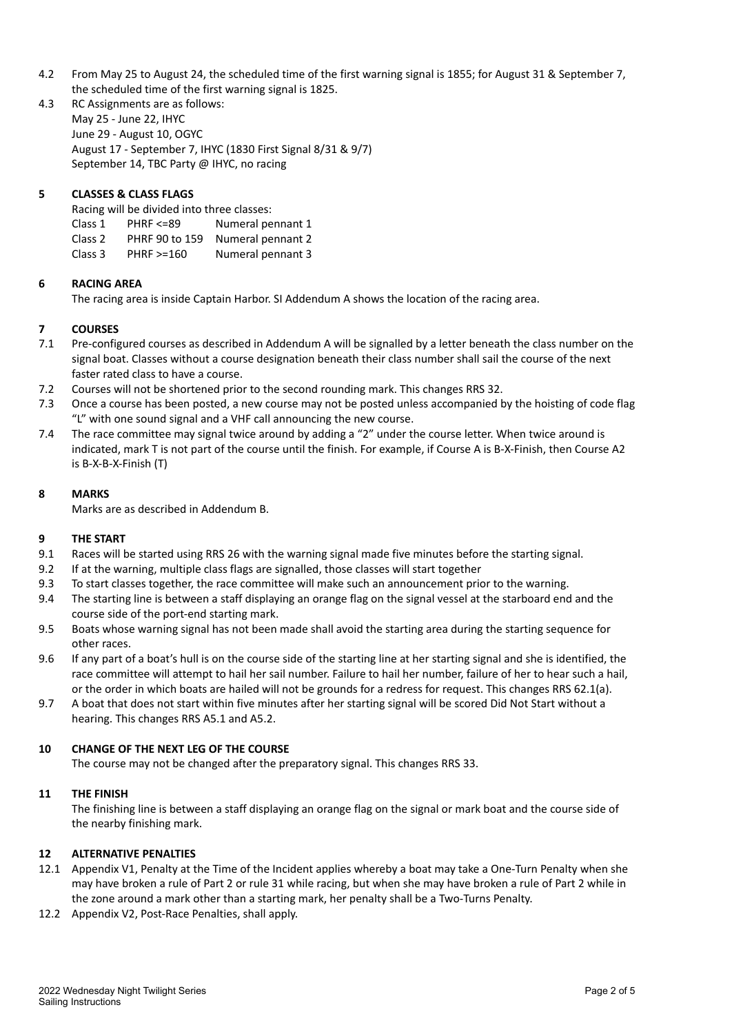- 4.2 From May 25 to August 24, the scheduled time of the first warning signal is 1855; for August 31 & September 7, the scheduled time of the first warning signal is 1825.
- 4.3 RC Assignments are as follows: May 25 - June 22, IHYC June 29 - August 10, OGYC August 17 - September 7, IHYC (1830 First Signal 8/31 & 9/7) September 14, TBC Party @ IHYC, no racing

## **5 CLASSES & CLASS FLAGS**

Racing will be divided into three classes:

- Class 1 PHRF <=89 Numeral pennant 1
- Class 2 PHRF 90 to 159 Numeral pennant 2
- Class 3 PHRF >=160 Numeral pennant 3

## **6 RACING AREA**

The racing area is inside Captain Harbor. SI Addendum A shows the location of the racing area.

## **7 COURSES**

- 7.1 Pre-configured courses as described in Addendum A will be signalled by a letter beneath the class number on the signal boat. Classes without a course designation beneath their class number shall sail the course of the next faster rated class to have a course.
- 7.2 Courses will not be shortened prior to the second rounding mark. This changes RRS 32.
- 7.3 Once a course has been posted, a new course may not be posted unless accompanied by the hoisting of code flag "L" with one sound signal and a VHF call announcing the new course.
- 7.4 The race committee may signal twice around by adding a "2" under the course letter. When twice around is indicated, mark T is not part of the course until the finish. For example, if Course A is B-X-Finish, then Course A2 is B-X-B-X-Finish (T)

## **8 MARKS**

Marks are as described in Addendum B.

## **9 THE START**

- 9.1 Races will be started using RRS 26 with the warning signal made five minutes before the starting signal.
- 9.2 If at the warning, multiple class flags are signalled, those classes will start together
- 9.3 To start classes together, the race committee will make such an announcement prior to the warning.
- 9.4 The starting line is between a staff displaying an orange flag on the signal vessel at the starboard end and the course side of the port-end starting mark.
- 9.5 Boats whose warning signal has not been made shall avoid the starting area during the starting sequence for other races.
- 9.6 If any part of a boat's hull is on the course side of the starting line at her starting signal and she is identified, the race committee will attempt to hail her sail number. Failure to hail her number, failure of her to hear such a hail, or the order in which boats are hailed will not be grounds for a redress for request. This changes RRS 62.1(a).
- 9.7 A boat that does not start within five minutes after her starting signal will be scored Did Not Start without a hearing. This changes RRS A5.1 and A5.2.

## **10 CHANGE OF THE NEXT LEG OF THE COURSE**

The course may not be changed after the preparatory signal. This changes RRS 33.

## **11 THE FINISH**

The finishing line is between a staff displaying an orange flag on the signal or mark boat and the course side of the nearby finishing mark.

## **12 ALTERNATIVE PENALTIES**

- 12.1 Appendix V1, Penalty at the Time of the Incident applies whereby a boat may take a One-Turn Penalty when she may have broken a rule of Part 2 or rule 31 while racing, but when she may have broken a rule of Part 2 while in the zone around a mark other than a starting mark, her penalty shall be a Two-Turns Penalty.
- 12.2 Appendix V2, Post-Race Penalties, shall apply.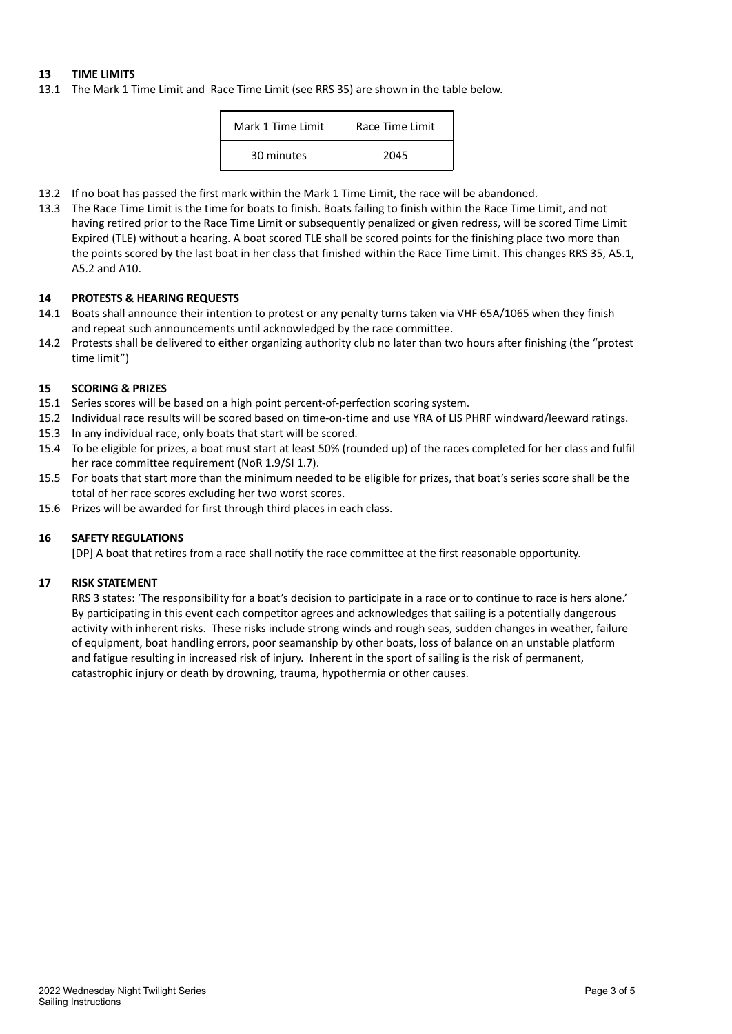## **13 TIME LIMITS**

13.1 The Mark 1 Time Limit and Race Time Limit (see RRS 35) are shown in the table below.

| Mark 1 Time Limit | Race Time Limit |
|-------------------|-----------------|
| 30 minutes        | 2045            |

- 13.2 If no boat has passed the first mark within the Mark 1 Time Limit, the race will be abandoned.
- 13.3 The Race Time Limit is the time for boats to finish. Boats failing to finish within the Race Time Limit, and not having retired prior to the Race Time Limit or subsequently penalized or given redress, will be scored Time Limit Expired (TLE) without a hearing. A boat scored TLE shall be scored points for the finishing place two more than the points scored by the last boat in her class that finished within the Race Time Limit. This changes RRS 35, A5.1, A5.2 and A10.

#### **14 PROTESTS & HEARING REQUESTS**

- 14.1 Boats shall announce their intention to protest or any penalty turns taken via VHF 65A/1065 when they finish and repeat such announcements until acknowledged by the race committee.
- 14.2 Protests shall be delivered to either organizing authority club no later than two hours after finishing (the "protest time limit")

#### **15 SCORING & PRIZES**

- 15.1 Series scores will be based on a high point percent-of-perfection scoring system.
- 15.2 Individual race results will be scored based on time-on-time and use YRA of LIS PHRF windward/leeward ratings.
- 15.3 In any individual race, only boats that start will be scored.
- 15.4 To be eligible for prizes, a boat must start at least 50% (rounded up) of the races completed for her class and fulfil her race committee requirement (NoR 1.9/SI 1.7).
- 15.5 For boats that start more than the minimum needed to be eligible for prizes, that boat's series score shall be the total of her race scores excluding her two worst scores.
- 15.6 Prizes will be awarded for first through third places in each class.

#### **16 SAFETY REGULATIONS**

[DP] A boat that retires from a race shall notify the race committee at the first reasonable opportunity.

#### **17 RISK STATEMENT**

RRS 3 states: 'The responsibility for a boat's decision to participate in a race or to continue to race is hers alone.' By participating in this event each competitor agrees and acknowledges that sailing is a potentially dangerous activity with inherent risks. These risks include strong winds and rough seas, sudden changes in weather, failure of equipment, boat handling errors, poor seamanship by other boats, loss of balance on an unstable platform and fatigue resulting in increased risk of injury. Inherent in the sport of sailing is the risk of permanent, catastrophic injury or death by drowning, trauma, hypothermia or other causes.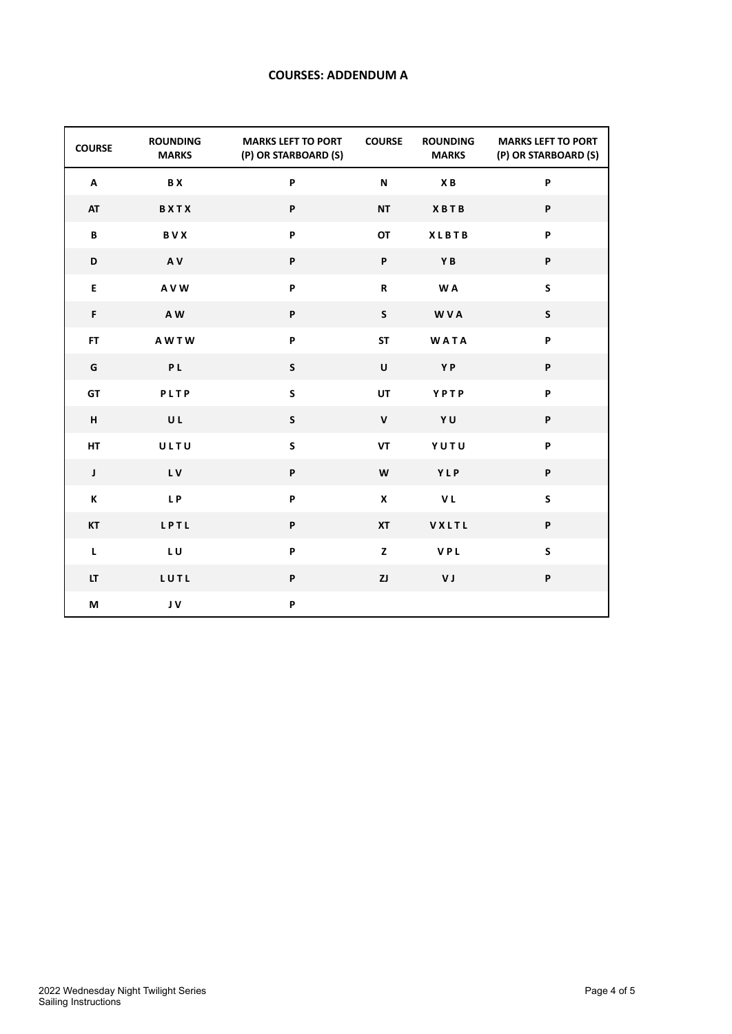## **COURSES: ADDENDUM A**

| <b>COURSE</b> | <b>ROUNDING</b><br><b>MARKS</b> | <b>MARKS LEFT TO PORT</b><br>(P) OR STARBOARD (S) | <b>COURSE</b>             | <b>ROUNDING</b><br><b>MARKS</b> | <b>MARKS LEFT TO PORT</b><br>(P) OR STARBOARD (S) |
|---------------|---------------------------------|---------------------------------------------------|---------------------------|---------------------------------|---------------------------------------------------|
| A             | <b>BX</b>                       | P                                                 | $\boldsymbol{\mathsf{N}}$ | XB                              | P                                                 |
| <b>AT</b>     | BXTX                            | P                                                 | <b>NT</b>                 | <b>XBTB</b>                     | P                                                 |
| В             | BVX                             | P                                                 | OT                        | <b>XLBTB</b>                    | P                                                 |
| D             | AV                              | P                                                 | P                         | YB                              | P                                                 |
| E             | <b>AVW</b>                      | P                                                 | R                         | W A                             | $\mathsf{s}$                                      |
| F             | AW                              | P                                                 | $\mathsf{s}$              | <b>WVA</b>                      | $\mathsf S$                                       |
| <b>FT</b>     | <b>AWTW</b>                     | P                                                 | <b>ST</b>                 | <b>WATA</b>                     | P                                                 |
| G             | <b>PL</b>                       | $\mathsf S$                                       | $\sf U$                   | YP                              | P                                                 |
| GT            | PLTP                            | $\mathsf S$                                       | UT                        | YPTP                            | P                                                 |
| н             | UL                              | ${\sf S}$                                         | $\mathbf{V}$              | YU                              | P                                                 |
| HT            | ULTU                            | $\mathsf S$                                       | VT                        | YUTU                            | P                                                 |
| $\mathsf J$   | <b>LV</b>                       | P                                                 | W                         | YLP                             | P                                                 |
| К             | LP                              | P                                                 | X                         | V L                             | $\sf S$                                           |
| <b>KT</b>     | LPTL                            | P                                                 | <b>XT</b>                 | VXLTL                           | P                                                 |
| L             | LU                              | P                                                 | z                         | VPL                             | $\sf S$                                           |
| LT.           | LUTL                            | P                                                 | ZJ                        | V J                             | P                                                 |
| М             | JV                              | P                                                 |                           |                                 |                                                   |